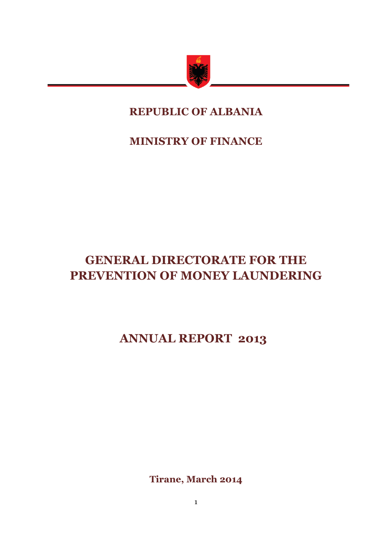

## **REPUBLIC OF ALBANIA**

**MINISTRY OF FINANCE**

# **GENERAL DIRECTORATE FOR THE PREVENTION OF MONEY LAUNDERING**

# **ANNUAL REPORT 2013**

**Tirane, March 2014**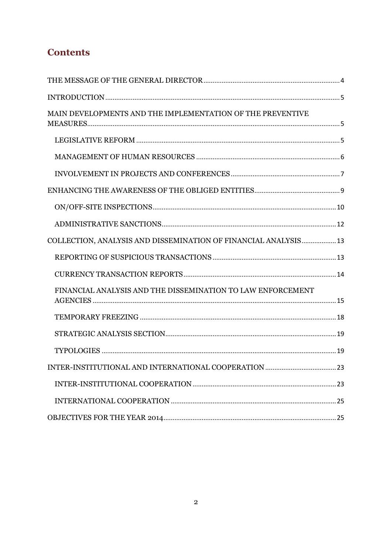## **Contents**

| MAIN DEVELOPMENTS AND THE IMPLEMENTATION OF THE PREVENTIVE       |  |
|------------------------------------------------------------------|--|
|                                                                  |  |
|                                                                  |  |
|                                                                  |  |
|                                                                  |  |
|                                                                  |  |
|                                                                  |  |
| COLLECTION, ANALYSIS AND DISSEMINATION OF FINANCIAL ANALYSIS  13 |  |
|                                                                  |  |
|                                                                  |  |
| FINANCIAL ANALYSIS AND THE DISSEMINATION TO LAW ENFORCEMENT      |  |
|                                                                  |  |
|                                                                  |  |
|                                                                  |  |
|                                                                  |  |
|                                                                  |  |
|                                                                  |  |
|                                                                  |  |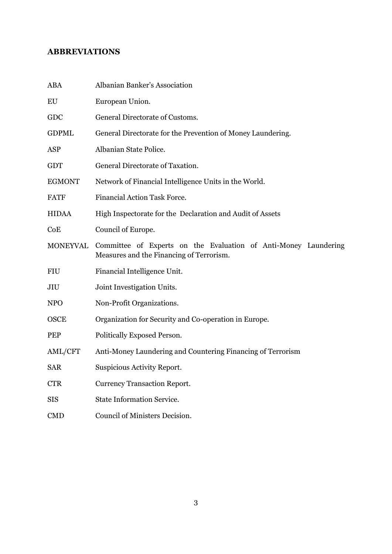## **ABBREVIATIONS**

| <b>ABA</b>      | Albanian Banker's Association                                                                               |
|-----------------|-------------------------------------------------------------------------------------------------------------|
| EU              | European Union.                                                                                             |
| GDC             | General Directorate of Customs.                                                                             |
| <b>GDPML</b>    | General Directorate for the Prevention of Money Laundering.                                                 |
| <b>ASP</b>      | Albanian State Police.                                                                                      |
| <b>GDT</b>      | General Directorate of Taxation.                                                                            |
| <b>EGMONT</b>   | Network of Financial Intelligence Units in the World.                                                       |
| <b>FATF</b>     | <b>Financial Action Task Force.</b>                                                                         |
| <b>HIDAA</b>    | High Inspectorate for the Declaration and Audit of Assets                                                   |
| CoE             | Council of Europe.                                                                                          |
| <b>MONEYVAL</b> | Committee of Experts on the Evaluation of Anti-Money Laundering<br>Measures and the Financing of Terrorism. |
| <b>FIU</b>      | Financial Intelligence Unit.                                                                                |
| JIU             | Joint Investigation Units.                                                                                  |
| <b>NPO</b>      | Non-Profit Organizations.                                                                                   |
| <b>OSCE</b>     | Organization for Security and Co-operation in Europe.                                                       |
| PEP             | Politically Exposed Person.                                                                                 |
| AML/CFT         | Anti-Money Laundering and Countering Financing of Terrorism                                                 |
| <b>SAR</b>      | <b>Suspicious Activity Report.</b>                                                                          |
| <b>CTR</b>      | <b>Currency Transaction Report.</b>                                                                         |
| <b>SIS</b>      | <b>State Information Service.</b>                                                                           |
| <b>CMD</b>      | Council of Ministers Decision.                                                                              |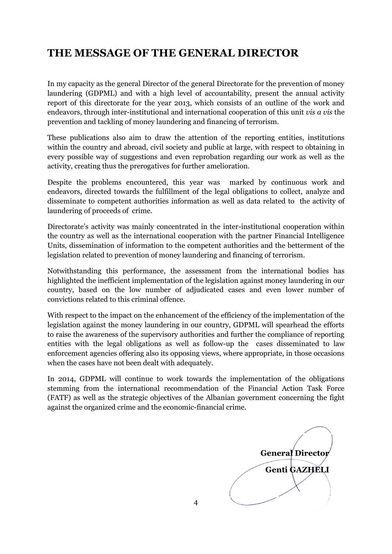## <span id="page-3-0"></span>**THE MESSAGE OF THE GENERAL DIRECTOR**

In my capacity as the general Director of the general Directorate for the prevention of money laundering (GDPML) and with a high level of accountability, present the annual activity report of this directorate for the year 2013, which consists of an outline of the work and endeavors, through inter-institutional and international cooperation of this unit *vis a vis* the prevention and tackling of money laundering and financing of terrorism.

These publications also aim to draw the attention of the reporting entities, institutions within the country and abroad, civil society and public at large, with respect to obtaining in every possible way of suggestions and even reprobation regarding our work as well as the activity, creating thus the prerogatives for further amelioration.

Despite the problems encountered, this year was marked by continuous work and endeavors, directed towards the fulfillment of the legal obligations to collect, analyze and disseminate to competent authorities information as well as data related to the activity of laundering of proceeds of crime.

Directorate's activity was mainly concentrated in the inter-institutional cooperation within the country as well as the international cooperation with the partner Financial Intelligence Units, dissemination of information to the competent authorities and the betterment of the legislation related to prevention of money laundering and financing of terrorism.

Notwithstanding this performance, the assessment from the international bodies has highlighted the inefficient implementation of the legislation against money laundering in our country, based on the low number of adjudicated cases and even lower number of convictions related to this criminal offence.

With respect to the impact on the enhancement of the efficiency of the implementation of the legislation against the money laundering in our country, GDPML will spearhead the efforts to raise the awareness of the supervisory authorities and further the compliance of reporting entities with the legal obligations as well as follow-up the cases disseminated to law enforcement agencies offering also its opposing views, where appropriate, in those occasions when the cases have not been dealt with adequately.

In 2014, GDPML will continue to work towards the implementation of the obligations stemming from the international recommendation of the Financial Action Task Force (FATF) as well as the strategic objectives of the Albanian government concerning the fight against the organized crime and the economic-financial crime.

**General Director Genti GAZHELI**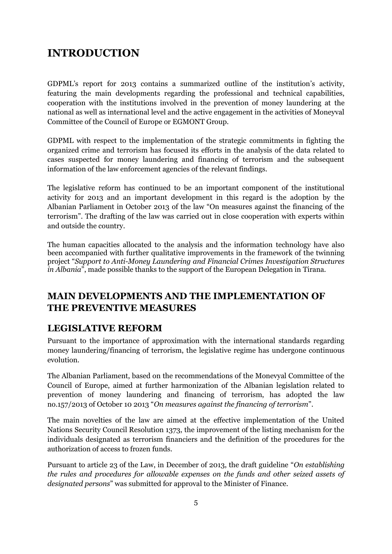## <span id="page-4-0"></span>**INTRODUCTION**

GDPML's report for 2013 contains a summarized outline of the institution's activity, featuring the main developments regarding the professional and technical capabilities, cooperation with the institutions involved in the prevention of money laundering at the national as well as international level and the active engagement in the activities of Moneyval Committee of the Council of Europe or EGMONT Group.

GDPML with respect to the implementation of the strategic commitments in fighting the organized crime and terrorism has focused its efforts in the analysis of the data related to cases suspected for money laundering and financing of terrorism and the subsequent information of the law enforcement agencies of the relevant findings.

The legislative reform has continued to be an important component of the institutional activity for 2013 and an important development in this regard is the adoption by the Albanian Parliament in October 2013 of the law "On measures against the financing of the terrorism". The drafting of the law was carried out in close cooperation with experts within and outside the country.

The human capacities allocated to the analysis and the information technology have also been accompanied with further qualitative improvements in the framework of the twinning project "*Support to Anti-Money Laundering and Financial Crimes Investigation Structures in Albania*", made possible thanks to the support of the European Delegation in Tirana.

## <span id="page-4-1"></span>**MAIN DEVELOPMENTS AND THE IMPLEMENTATION OF THE PREVENTIVE MEASURES**

### <span id="page-4-2"></span>**LEGISLATIVE REFORM**

Pursuant to the importance of approximation with the international standards regarding money laundering/financing of terrorism, the legislative regime has undergone continuous evolution.

The Albanian Parliament, based on the recommendations of the Monevyal Committee of the Council of Europe, aimed at further harmonization of the Albanian legislation related to prevention of money laundering and financing of terrorism, has adopted the law no.157/2013 of October 10 2013 "*On measures against the financing of terrorism*".

The main novelties of the law are aimed at the effective implementation of the United Nations Security Council Resolution 1373, the improvement of the listing mechanism for the individuals designated as terrorism financiers and the definition of the procedures for the authorization of access to frozen funds.

Pursuant to article 23 of the Law, in December of 2013, the draft guideline "*On establishing the rules and procedures for allowable expenses on the funds and other seized assets of designated persons*" was submitted for approval to the Minister of Finance.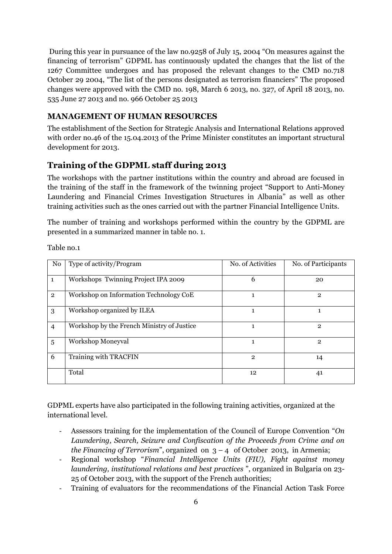During this year in pursuance of the law no.9258 of July 15, 2004 "On measures against the financing of terrorism" GDPML has continuously updated the changes that the list of the 1267 Committee undergoes and has proposed the relevant changes to the CMD no.718 October 29 2004, "The list of the persons designated as terrorism financiers" The proposed changes were approved with the CMD no. 198, March 6 2013, no. 327, of April 18 2013, no. 535 June 27 2013 and no. 966 October 25 2013

#### <span id="page-5-0"></span>**MANAGEMENT OF HUMAN RESOURCES**

The establishment of the Section for Strategic Analysis and International Relations approved with order no.46 of the 15.04.2013 of the Prime Minister constitutes an important structural development for 2013.

### **Training of the GDPML staff during 2013**

The workshops with the partner institutions within the country and abroad are focused in the training of the staff in the framework of the twinning project "Support to Anti-Money Laundering and Financial Crimes Investigation Structures in Albania" as well as other training activities such as the ones carried out with the partner Financial Intelligence Units.

The number of training and workshops performed within the country by the GDPML are presented in a summarized manner in table no. 1.

Table no.1

| No             | Type of activity/Program                   | No. of Activities | No. of Participants |
|----------------|--------------------------------------------|-------------------|---------------------|
| $\mathbf{1}$   | Workshops Twinning Project IPA 2009        | 6                 | 20                  |
| $\overline{2}$ | Workshop on Information Technology CoE     |                   | $\overline{2}$      |
| 3              | Workshop organized by ILEA                 | 1                 |                     |
| $\overline{4}$ | Workshop by the French Ministry of Justice | 1                 | $\mathbf{2}$        |
| 5              | Workshop Moneyval                          | 1                 | $\mathbf{2}$        |
| 6              | Training with TRACFIN                      | $\overline{2}$    | 14                  |
|                | Total                                      | 12                | 41                  |

GDPML experts have also participated in the following training activities, organized at the international level.

- Assessors training for the implementation of the Council of Europe Convention "*On Laundering, Search, Seizure and Confiscation of the Proceeds from Crime and on the Financing of Terrorism*", organized on  $3 - 4$  of October 2013, in Armenia;
- Regional workshop "*Financial Intelligence Units (FIU), Fight against money laundering, institutional relations and best practices* ", organized in Bulgaria on 23- 25 of October 2013, with the support of the French authorities;
- Training of evaluators for the recommendations of the Financial Action Task Force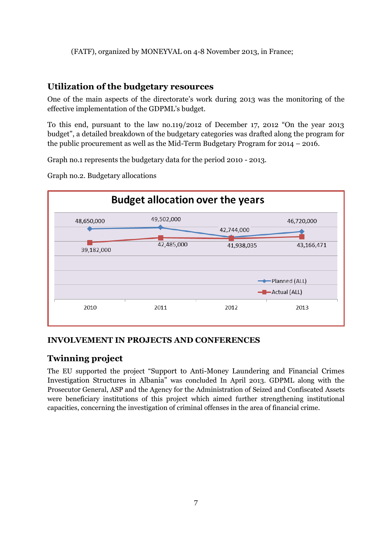#### (FATF), organized by MONEYVAL on 4-8 November 2013, in France;

#### **Utilization of the budgetary resources**

One of the main aspects of the directorate's work during 2013 was the monitoring of the effective implementation of the GDPML's budget.

To this end, pursuant to the law no.119/2012 of December 17, 2012 "On the year 2013 budget", a detailed breakdown of the budgetary categories was drafted along the program for the public procurement as well as the Mid-Term Budgetary Program for 2014 – 2016.

Graph no.1 represents the budgetary data for the period 2010 - 2013.

Graph no.2. Budgetary allocations



#### <span id="page-6-0"></span>**INVOLVEMENT IN PROJECTS AND CONFERENCES**

#### **Twinning project**

The EU supported the project "Support to Anti-Money Laundering and Financial Crimes Investigation Structures in Albania" was concluded In April 2013. GDPML along with the Prosecutor General, ASP and the Agency for the Administration of Seized and Confiscated Assets were beneficiary institutions of this project which aimed further strengthening institutional capacities, concerning the investigation of criminal offenses in the area of financial crime.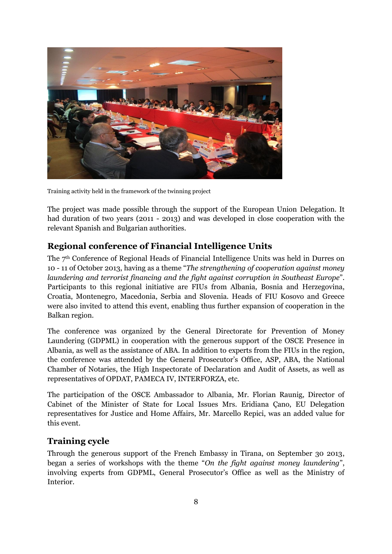

Training activity held in the framework of the twinning project

The project was made possible through the support of the European Union Delegation. It had duration of two years (2011 - 2013) and was developed in close cooperation with the relevant Spanish and Bulgarian authorities.

### **Regional conference of Financial Intelligence Units**

The 7th Conference of Regional Heads of Financial Intelligence Units was held in Durres on 10 - 11 of October 2013, having as a theme "*The strengthening of cooperation against money laundering and terrorist financing and the fight against corruption in Southeast Europe*". Participants to this regional initiative are FIUs from Albania, Bosnia and Herzegovina, Croatia, Montenegro, Macedonia, Serbia and Slovenia. Heads of FIU Kosovo and Greece were also invited to attend this event, enabling thus further expansion of cooperation in the Balkan region.

The conference was organized by the General Directorate for Prevention of Money Laundering (GDPML) in cooperation with the generous support of the OSCE Presence in Albania, as well as the assistance of ABA. In addition to experts from the FIUs in the region, the conference was attended by the General Prosecutor's Office, ASP, ABA, the National Chamber of Notaries, the High Inspectorate of Declaration and Audit of Assets, as well as representatives of OPDAT, PAMECA IV, INTERFORZA, etc.

The participation of the OSCE Ambassador to Albania, Mr. Florian Raunig, Director of Cabinet of the Minister of State for Local Issues Mrs. Eridiana Çano, EU Delegation representatives for Justice and Home Affairs, Mr. Marcello Repici, was an added value for this event.

### **Training cycle**

Through the generous support of the French Embassy in Tirana, on September 30 2013, began a series of workshops with the theme "*On the fight against money laundering*", involving experts from GDPML, General Prosecutor's Office as well as the Ministry of Interior.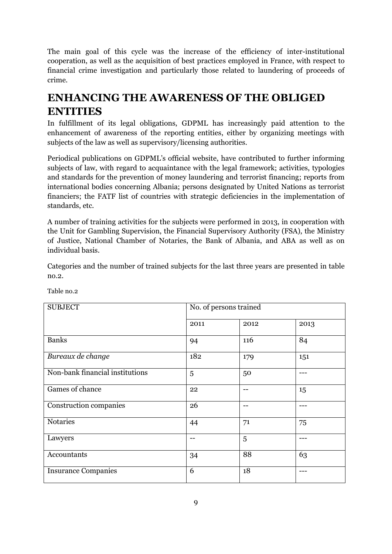The main goal of this cycle was the increase of the efficiency of inter-institutional cooperation, as well as the acquisition of best practices employed in France, with respect to financial crime investigation and particularly those related to laundering of proceeds of crime.

## <span id="page-8-0"></span>**ENHANCING THE AWARENESS OF THE OBLIGED ENTITIES**

In fulfillment of its legal obligations, GDPML has increasingly paid attention to the enhancement of awareness of the reporting entities, either by organizing meetings with subjects of the law as well as supervisory/licensing authorities.

Periodical publications on GDPML's official website, have contributed to further informing subjects of law, with regard to acquaintance with the legal framework; activities, typologies and standards for the prevention of money laundering and terrorist financing; reports from international bodies concerning Albania; persons designated by United Nations as terrorist financiers; the FATF list of countries with strategic deficiencies in the implementation of standards, etc.

A number of training activities for the subjects were performed in 2013, in cooperation with the Unit for Gambling Supervision, the Financial Supervisory Authority (FSA), the Ministry of Justice, National Chamber of Notaries, the Bank of Albania, and ABA as well as on individual basis.

Categories and the number of trained subjects for the last three years are presented in table no.2.

| <b>SUBJECT</b>                  | No. of persons trained |      |      |
|---------------------------------|------------------------|------|------|
|                                 | 2011                   | 2012 | 2013 |
| <b>Banks</b>                    | 94                     | 116  | 84   |
| Bureaux de change               | 182                    | 179  | 151  |
| Non-bank financial institutions | 5                      | 50   |      |
| Games of chance                 | 22                     |      | 15   |
| Construction companies          | 26                     | --   |      |
| Notaries                        | 44                     | 71   | 75   |
| Lawyers                         | --                     | 5    |      |
| Accountants                     | 34                     | 88   | 63   |
| <b>Insurance Companies</b>      | 6                      | 18   |      |

Table no.2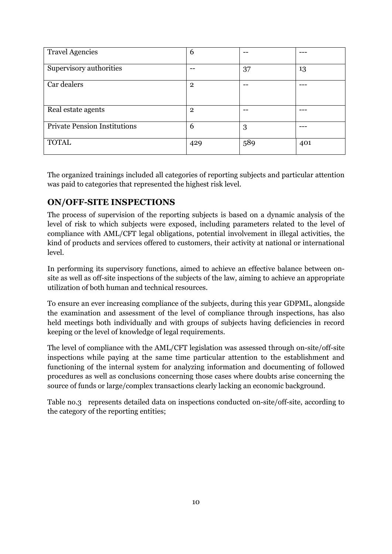| <b>Travel Agencies</b>              | 6              |     |     |
|-------------------------------------|----------------|-----|-----|
| Supervisory authorities             |                | 37  | 13  |
| Car dealers                         | $\mathbf{2}$   |     |     |
| Real estate agents                  | $\overline{2}$ |     |     |
| <b>Private Pension Institutions</b> | 6              | 3   |     |
| <b>TOTAL</b>                        | 429            | 589 | 401 |

The organized trainings included all categories of reporting subjects and particular attention was paid to categories that represented the highest risk level.

### <span id="page-9-0"></span>**ON/OFF-SITE INSPECTIONS**

The process of supervision of the reporting subjects is based on a dynamic analysis of the level of risk to which subjects were exposed, including parameters related to the level of compliance with AML/CFT legal obligations, potential involvement in illegal activities, the kind of products and services offered to customers, their activity at national or international level.

In performing its supervisory functions, aimed to achieve an effective balance between onsite as well as off-site inspections of the subjects of the law, aiming to achieve an appropriate utilization of both human and technical resources.

To ensure an ever increasing compliance of the subjects, during this year GDPML, alongside the examination and assessment of the level of compliance through inspections, has also held meetings both individually and with groups of subjects having deficiencies in record keeping or the level of knowledge of legal requirements.

The level of compliance with the AML/CFT legislation was assessed through on-site/off-site inspections while paying at the same time particular attention to the establishment and functioning of the internal system for analyzing information and documenting of followed procedures as well as conclusions concerning those cases where doubts arise concerning the source of funds or large/complex transactions clearly lacking an economic background.

Table no.3 represents detailed data on inspections conducted on-site/off-site, according to the category of the reporting entities;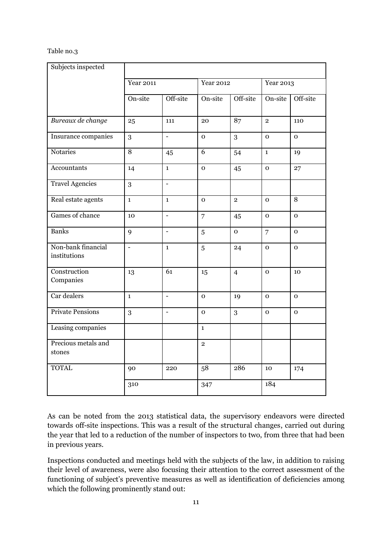#### Table no.3

| Subjects inspected                 |                  |                          |                  |                |                  |                |
|------------------------------------|------------------|--------------------------|------------------|----------------|------------------|----------------|
|                                    | <b>Year 2011</b> |                          | <b>Year 2012</b> |                | <b>Year 2013</b> |                |
|                                    | On-site          | Off-site                 | On-site          | Off-site       | On-site          | Off-site       |
| Bureaux de change                  | 25               | 111                      | 20               | 87             | $\overline{2}$   | 110            |
| Insurance companies                | 3                | $\overline{a}$           | $\mathbf 0$      | 3              | $\mathbf{O}$     | $\mathbf 0$    |
| Notaries                           | $\,8\,$          | 45                       | 6                | 54             | $\mathbf{1}$     | 19             |
| Accountants                        | 14               | $\mathbf{1}$             | $\mathbf 0$      | 45             | $\mathbf{o}$     | 27             |
| <b>Travel Agencies</b>             | 3                | $\overline{\phantom{a}}$ |                  |                |                  |                |
| Real estate agents                 | $\mathbf{1}$     | $\mathbf{1}$             | $\mathbf{O}$     | $\overline{2}$ | $\mathbf{O}$     | $\overline{8}$ |
| Games of chance                    | 10               | $\overline{a}$           | $\overline{7}$   | 45             | $\mathbf{O}$     | $\mathbf{O}$   |
| <b>Banks</b>                       | 9                | $\blacksquare$           | 5                | $\mathbf{O}$   | $\overline{7}$   | $\mathbf{O}$   |
| Non-bank financial<br>institutions | $\blacksquare$   | $\mathbf{1}$             | 5                | 24             | $\mathbf{O}$     | $\mathbf{O}$   |
| Construction<br>Companies          | 13               | $\overline{61}$          | 15               | $\overline{4}$ | $\mathbf{O}$     | 10             |
| Car dealers                        | $\mathbf{1}$     | $\overline{a}$           | $\mathbf{O}$     | 19             | $\mathbf{O}$     | $\mathbf{O}$   |
| <b>Private Pensions</b>            | 3                | $\overline{\phantom{a}}$ | $\mathbf{O}$     | 3              | $\mathbf{O}$     | $\mathbf{O}$   |
| Leasing companies                  |                  |                          | $\mathbf{1}$     |                |                  |                |
| Precious metals and<br>stones      |                  |                          | $\overline{2}$   |                |                  |                |
| <b>TOTAL</b>                       | 90               | 220                      | 58               | 286            | 10               | 174            |
|                                    | 310              |                          | 347              |                | 184              |                |

As can be noted from the 2013 statistical data, the supervisory endeavors were directed towards off-site inspections. This was a result of the structural changes, carried out during the year that led to a reduction of the number of inspectors to two, from three that had been in previous years.

Inspections conducted and meetings held with the subjects of the law, in addition to raising their level of awareness, were also focusing their attention to the correct assessment of the functioning of subject's preventive measures as well as identification of deficiencies among which the following prominently stand out: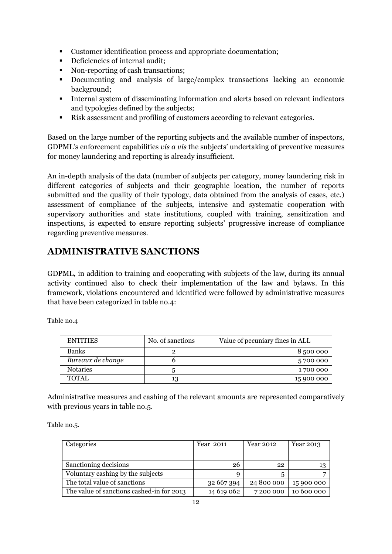- Customer identification process and appropriate documentation;
- Deficiencies of internal audit:
- Non-reporting of cash transactions;
- Documenting and analysis of large/complex transactions lacking an economic background;
- Internal system of disseminating information and alerts based on relevant indicators and typologies defined by the subjects;
- Risk assessment and profiling of customers according to relevant categories.

Based on the large number of the reporting subjects and the available number of inspectors, GDPML's enforcement capabilities *vis a vis* the subjects' undertaking of preventive measures for money laundering and reporting is already insufficient.

An in-depth analysis of the data (number of subjects per category, money laundering risk in different categories of subjects and their geographic location, the number of reports submitted and the quality of their typology, data obtained from the analysis of cases, etc.) assessment of compliance of the subjects, intensive and systematic cooperation with supervisory authorities and state institutions, coupled with training, sensitization and inspections, is expected to ensure reporting subjects' progressive increase of compliance regarding preventive measures.

## <span id="page-11-0"></span>**ADMINISTRATIVE SANCTIONS**

GDPML, in addition to training and cooperating with subjects of the law, during its annual activity continued also to check their implementation of the law and bylaws. In this framework, violations encountered and identified were followed by administrative measures that have been categorized in table no.4:

Table no.4

| <b>ENTITIES</b>   | No. of sanctions | Value of pecuniary fines in ALL |  |
|-------------------|------------------|---------------------------------|--|
| <b>Banks</b>      |                  | 8500000                         |  |
| Bureaux de change |                  | 5700 000                        |  |
| <b>Notaries</b>   |                  | 1700 000                        |  |
| <b>TOTAL</b>      | 13               | 15 900 000                      |  |

Administrative measures and cashing of the relevant amounts are represented comparatively with previous years in table no.5.

Table no.5.

| Categories                                | Year 2011  | Year 2012  | Year 2013  |
|-------------------------------------------|------------|------------|------------|
|                                           |            |            |            |
| Sanctioning decisions                     | 26         | 22         | 13         |
| Voluntary cashing by the subjects         |            |            |            |
| The total value of sanctions              | 32 667 394 | 24 800 000 | 15 900 000 |
| The value of sanctions cashed-in for 2013 | 14 619 062 | 7200000    | 10 600 000 |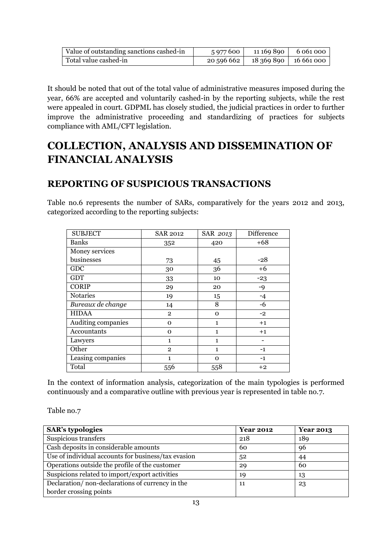| Value of outstanding sanctions cashed-in | 5 977 600  | 11 169 890            | 6 061 000 |
|------------------------------------------|------------|-----------------------|-----------|
| Total value cashed-in                    | 20 596 662 | 18 369 890 16 661 000 |           |

It should be noted that out of the total value of administrative measures imposed during the year, 66% are accepted and voluntarily cashed-in by the reporting subjects, while the rest were appealed in court. GDPML has closely studied, the judicial practices in order to further improve the administrative proceeding and standardizing of practices for subjects compliance with AML/CFT legislation.

## <span id="page-12-0"></span>**COLLECTION, ANALYSIS AND DISSEMINATION OF FINANCIAL ANALYSIS**

## <span id="page-12-1"></span>**REPORTING OF SUSPICIOUS TRANSACTIONS**

Table no.6 represents the number of SARs, comparatively for the years 2012 and 2013, categorized according to the reporting subjects:

| <b>SUBJECT</b>     | <b>SAR 2012</b> | SAR 2013     | Difference |
|--------------------|-----------------|--------------|------------|
| <b>Banks</b>       | 352             | 420          | $+68$      |
| Money services     |                 |              |            |
| businesses         | 73              | 45           | $-28$      |
| GDC                | 30              | 36           | $+6$       |
| <b>GDT</b>         | 33              | 10           | $-23$      |
| <b>CORIP</b>       | 29              | 20           | $-9$       |
| <b>Notaries</b>    | 19              | 15           | $-4$       |
| Bureaux de change  | 14              | 8            | $-6$       |
| <b>HIDAA</b>       | $\overline{2}$  | $\mathbf 0$  | $-2$       |
| Auditing companies | $\mathbf 0$     | $\mathbf{1}$ | $+1$       |
| Accountants        | $\mathbf{O}$    | $\mathbf{1}$ | $+1$       |
| Lawyers            | $\mathbf{1}$    | $\mathbf{1}$ |            |
| Other              | $\overline{2}$  | $\mathbf{1}$ | $-1$       |
| Leasing companies  | $\mathbf{1}$    | $\Omega$     | $-1$       |
| Total              | 556             | 558          | $+2$       |

In the context of information analysis, categorization of the main typologies is performed continuously and a comparative outline with previous year is represented in table no.7.

Table no.7

| <b>SAR's typologies</b>                             | <b>Year 2012</b> | <b>Year 2013</b> |
|-----------------------------------------------------|------------------|------------------|
| Suspicious transfers                                | 218              | 189              |
| Cash deposits in considerable amounts               | 60               | 96               |
| Use of individual accounts for business/tax evasion | 52               | 44               |
| Operations outside the profile of the customer      | 29               | 60               |
| Suspicions related to import/export activities      | 19               | 13               |
| Declaration/non-declarations of currency in the     | 11               | 23               |
| border crossing points                              |                  |                  |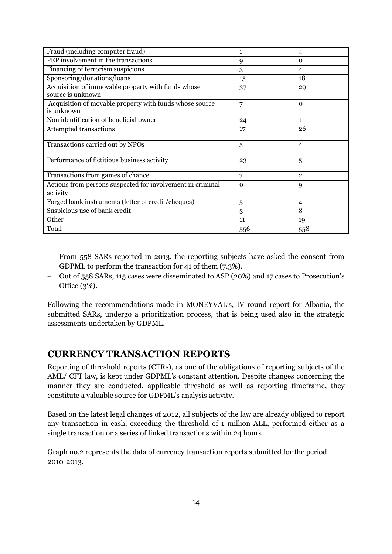| Fraud (including computer fraud)                                        | 1        | $\overline{4}$ |
|-------------------------------------------------------------------------|----------|----------------|
| PEP involvement in the transactions                                     | 9        | $\Omega$       |
| Financing of terrorism suspicions                                       | 3        | 4              |
| Sponsoring/donations/loans                                              | 15       | 18             |
| Acquisition of immovable property with funds whose<br>source is unknown | 37       | 29             |
| Acquisition of movable property with funds whose source<br>is unknown   | 7        | $\Omega$       |
| Non identification of beneficial owner                                  | 24       | $\mathbf{1}$   |
| <b>Attempted transactions</b>                                           | 17       | 26             |
| Transactions carried out by NPOs                                        | 5        | $\overline{4}$ |
| Performance of fictitious business activity                             | 23       | 5              |
| Transactions from games of chance                                       | 7        | $\overline{2}$ |
| Actions from persons suspected for involvement in criminal              | $\Omega$ | 9              |
| activity                                                                |          |                |
| Forged bank instruments (letter of credit/cheques)                      | 5        | 4              |
| Suspicious use of bank credit                                           | 3        | 8              |
| Other                                                                   | 11       | 19             |
| Total                                                                   | 556      | 558            |

- From 558 SARs reported in 2013, the reporting subjects have asked the consent from GDPML to perform the transaction for 41 of them (7.3%).
- Out of 558 SARs, 115 cases were disseminated to ASP (20%) and 17 cases to Prosecution's Office (3%).

Following the recommendations made in MONEYVAL's, IV round report for Albania, the submitted SARs, undergo a prioritization process, that is being used also in the strategic assessments undertaken by GDPML.

### <span id="page-13-0"></span>**CURRENCY TRANSACTION REPORTS**

Reporting of threshold reports (CTRs), as one of the obligations of reporting subjects of the AML/ CFT law, is kept under GDPML's constant attention. Despite changes concerning the manner they are conducted, applicable threshold as well as reporting timeframe, they constitute a valuable source for GDPML's analysis activity.

Based on the latest legal changes of 2012, all subjects of the law are already obliged to report any transaction in cash, exceeding the threshold of 1 million ALL, performed either as a single transaction or a series of linked transactions within 24 hours

Graph no.2 represents the data of currency transaction reports submitted for the period 2010-2013.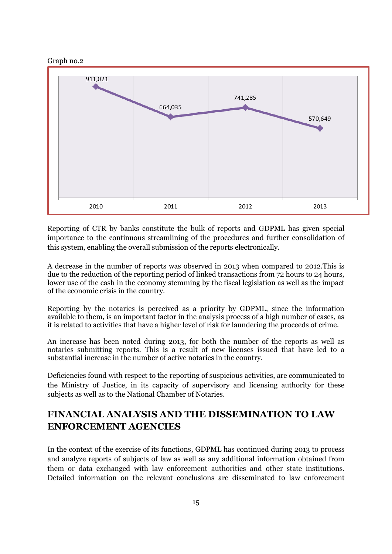



Reporting of CTR by banks constitute the bulk of reports and GDPML has given special importance to the continuous streamlining of the procedures and further consolidation of this system, enabling the overall submission of the reports electronically.

A decrease in the number of reports was observed in 2013 when compared to 2012.This is due to the reduction of the reporting period of linked transactions from  $\overline{72}$  hours to 24 hours, lower use of the cash in the economy stemming by the fiscal legislation as well as the impact of the economic crisis in the country.

Reporting by the notaries is perceived as a priority by GDPML, since the information available to them, is an important factor in the analysis process of a high number of cases, as it is related to activities that have a higher level of risk for laundering the proceeds of crime.

An increase has been noted during 2013, for both the number of the reports as well as notaries submitting reports. This is a result of new licenses issued that have led to a substantial increase in the number of active notaries in the country.

Deficiencies found with respect to the reporting of suspicious activities, are communicated to the Ministry of Justice, in its capacity of supervisory and licensing authority for these subjects as well as to the National Chamber of Notaries.

## <span id="page-14-0"></span>**FINANCIAL ANALYSIS AND THE DISSEMINATION TO LAW ENFORCEMENT AGENCIES**

In the context of the exercise of its functions, GDPML has continued during 2013 to process and analyze reports of subjects of law as well as any additional information obtained from them or data exchanged with law enforcement authorities and other state institutions. Detailed information on the relevant conclusions are disseminated to law enforcement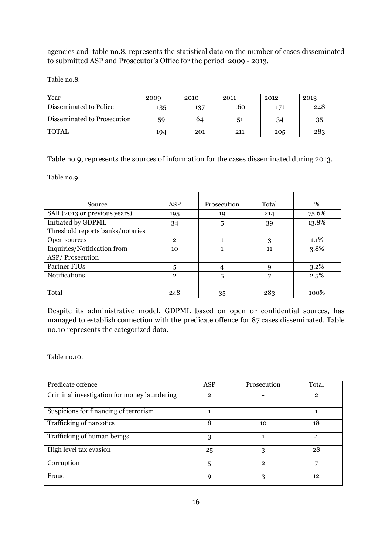agencies and table no.8, represents the statistical data on the number of cases disseminated to submitted ASP and Prosecutor's Office for the period 2009 - 2013.

Table no.8.

| Year                        | 2009 | 2010 | 2011 | 2012 | 2013 |
|-----------------------------|------|------|------|------|------|
| Disseminated to Police      | 135  | 137  | 160  | 171  | 248  |
| Disseminated to Prosecution | 59   | 64   | 51   | 34   | 35   |
| <b>TOTAL</b>                | 194  | 201  | 211  | 205  | 283  |

Table no.9, represents the sources of information for the cases disseminated during 2013.

Table no.9.

| Source                           | <b>ASP</b>     | Prosecution | Total | %       |
|----------------------------------|----------------|-------------|-------|---------|
| SAR (2013 or previous years)     | 195            | 19          | 214   | 75.6%   |
| Initiated by GDPML               | 34             | 5           | 39    | 13.8%   |
| Threshold reports banks/notaries |                |             |       |         |
| Open sources                     | $\overline{2}$ |             | 3     | $1.1\%$ |
| Inquiries/Notification from      | 10             |             | 11    | 3.8%    |
| ASP/Prosecution                  |                |             |       |         |
| Partner FIUs                     | 5              |             | q     | $3.2\%$ |
| <b>Notifications</b>             | $\overline{2}$ | 5           | 7     | 2.5%    |
|                                  |                |             |       |         |
| Total                            | 248            | 35          | 283   | $100\%$ |

Despite its administrative model, GDPML based on open or confidential sources, has managed to establish connection with the predicate offence for 87 cases disseminated. Table no.10 represents the categorized data.

Table no.10.

| Predicate offence                           | <b>ASP</b>   | Prosecution    | Total          |
|---------------------------------------------|--------------|----------------|----------------|
| Criminal investigation for money laundering | $\mathbf{2}$ |                | $\overline{2}$ |
| Suspicions for financing of terrorism       |              |                |                |
| Trafficking of narcotics                    | 8            | 10             | 18             |
| Trafficking of human beings                 | 3            |                |                |
| High level tax evasion                      | 25           | 3              | 28             |
| Corruption                                  | 5            | $\overline{2}$ |                |
| Fraud                                       | 9            | 3              | 12             |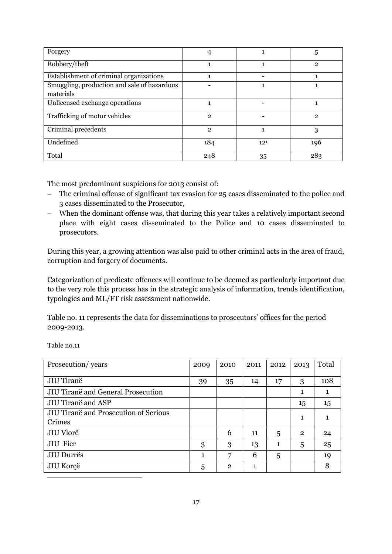| Forgery                                     | 4            |          | 5              |
|---------------------------------------------|--------------|----------|----------------|
| Robbery/theft                               |              |          | $\overline{2}$ |
| Establishment of criminal organizations     |              |          |                |
| Smuggling, production and sale of hazardous |              |          |                |
| materials                                   |              |          |                |
| Unlicensed exchange operations              |              |          |                |
| Trafficking of motor vehicles               | $\mathbf{2}$ |          | 2              |
| Criminal precedents                         | $\mathbf{2}$ |          | 3              |
| Undefined                                   | 184          | $12^{1}$ | 196            |
| Total                                       | 248          | 35       | 283            |

The most predominant suspicions for 2013 consist of:

- The criminal offense of significant tax evasion for 25 cases disseminated to the police and 3 cases disseminated to the Prosecutor,
- When the dominant offense was, that during this year takes a relatively important second place with eight cases disseminated to the Police and 10 cases disseminated to prosecutors.

During this year, a growing attention was also paid to other criminal acts in the area of fraud, corruption and forgery of documents.

Categorization of predicate offences will continue to be deemed as particularly important due to the very role this process has in the strategic analysis of information, trends identification, typologies and ML/FT risk assessment nationwide.

Table no. 11 represents the data for disseminations to prosecutors' offices for the period 2009-2013.

Table no.11

1

| Prosecution/years                     | 2009 | 2010         | 2011 | 2012 | 2013           | Total |
|---------------------------------------|------|--------------|------|------|----------------|-------|
|                                       |      |              |      |      |                |       |
| JIU Tiranë                            | 39   | 35           | 14   | 17   | 3              | 108   |
| JIU Tiranë and General Prosecution    |      |              |      |      | 1              |       |
| JIU Tiranë and ASP                    |      |              |      |      | 15             | 15    |
| JIU Tiranë and Prosecution of Serious |      |              |      |      | 1              |       |
| Crimes                                |      |              |      |      |                |       |
| JIU Vlorë                             |      | 6            | 11   | 5    | $\overline{2}$ | 24    |
| <b>JIU</b> Fier                       | 3    | 3            | 13   | 1    | 5              | 25    |
| JIU Durrës                            | 1    | 7            | 6    | 5    |                | 19    |
| JIU Korçë                             | 5    | $\mathbf{2}$ | 1    |      |                | 8     |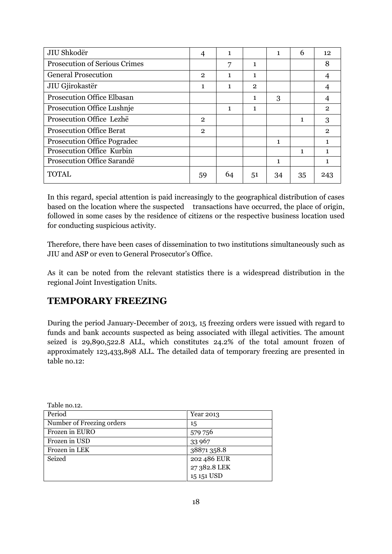| JIU Shkodër                          | 4              | 1           |                | 1  | 6  | 12 <sup>2</sup> |
|--------------------------------------|----------------|-------------|----------------|----|----|-----------------|
| <b>Prosecution of Serious Crimes</b> |                | 7           | 1              |    |    | 8               |
| <b>General Prosecution</b>           | $\overline{2}$ | $\mathbf 1$ | 1              |    |    | 4               |
| JIU Gjirokastër                      | 1              | 1           | $\overline{2}$ |    |    |                 |
| <b>Prosecution Office Elbasan</b>    |                |             | 1              | 3  |    |                 |
| Prosecution Office Lushnie           |                | 1           | 1              |    |    | $\mathbf{2}$    |
| Prosecution Office Lezhë             | $\mathbf{2}$   |             |                |    | 1  | 3               |
| <b>Prosecution Office Berat</b>      | $\overline{2}$ |             |                |    |    | $\mathbf{2}$    |
| <b>Prosecution Office Pogradec</b>   |                |             |                | 1  |    | 1               |
| Prosecution Office Kurbin            |                |             |                |    | 1  | 1               |
| Prosecution Office Sarandë           |                |             |                | 1  |    | 1               |
| <b>TOTAL</b>                         | 59             | 64          | 51             | 34 | 35 | 243             |

In this regard, special attention is paid increasingly to the geographical distribution of cases based on the location where the suspected transactions have occurred, the place of origin, followed in some cases by the residence of citizens or the respective business location used for conducting suspicious activity.

Therefore, there have been cases of dissemination to two institutions simultaneously such as JIU and ASP or even to General Prosecutor's Office.

As it can be noted from the relevant statistics there is a widespread distribution in the regional Joint Investigation Units.

### <span id="page-17-0"></span>**TEMPORARY FREEZING**

During the period January-December of 2013, 15 freezing orders were issued with regard to funds and bank accounts suspected as being associated with illegal activities. The amount seized is 29,890,522.8 ALL, which constitutes 24.2% of the total amount frozen of approximately 123,433,898 ALL. The detailed data of temporary freezing are presented in table no.12:

| Table no.12.              |              |
|---------------------------|--------------|
| Period                    | Year 2013    |
| Number of Freezing orders | 15           |
| Frozen in EURO            | 579 756      |
| Frozen in USD             | 33 967       |
| Frozen in LEK             | 38871358.8   |
| Seized                    | 202 486 EUR  |
|                           | 27 382.8 LEK |
|                           | 15 151 USD   |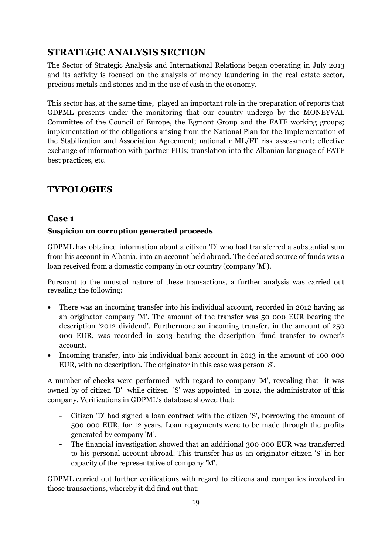## <span id="page-18-0"></span>**STRATEGIC ANALYSIS SECTION**

The Sector of Strategic Analysis and International Relations began operating in July 2013 and its activity is focused on the analysis of money laundering in the real estate sector, precious metals and stones and in the use of cash in the economy.

This sector has, at the same time, played an important role in the preparation of reports that GDPML presents under the monitoring that our country undergo by the MONEYVAL Committee of the Council of Europe, the Egmont Group and the FATF working groups; implementation of the obligations arising from the National Plan for the Implementation of the Stabilization and Association Agreement; national r ML/FT risk assessment; effective exchange of information with partner FIUs; translation into the Albanian language of FATF best practices, etc.

## <span id="page-18-1"></span>**TYPOLOGIES**

#### **Case 1**

#### **Suspicion on corruption generated proceeds**

GDPML has obtained information about a citizen 'D' who had transferred a substantial sum from his account in Albania, into an account held abroad. The declared source of funds was a loan received from a domestic company in our country (company 'M').

Pursuant to the unusual nature of these transactions, a further analysis was carried out revealing the following:

- There was an incoming transfer into his individual account, recorded in 2012 having as an originator company 'M'. The amount of the transfer was 50 000 EUR bearing the description '2012 dividend'. Furthermore an incoming transfer, in the amount of 250 000 EUR, was recorded in 2013 bearing the description 'fund transfer to owner's account.
- Incoming transfer, into his individual bank account in 2013 in the amount of 100 000 EUR, with no description. The originator in this case was person 'S'.

A number of checks were performed with regard to company 'M', revealing that it was owned by of citizen 'D' while citizen 'S' was appointed in 2012, the administrator of this company. Verifications in GDPML's database showed that:

- Citizen 'D' had signed a loan contract with the citizen 'S', borrowing the amount of 500 000 EUR, for 12 years. Loan repayments were to be made through the profits generated by company 'M'.
- The financial investigation showed that an additional 300 000 EUR was transferred to his personal account abroad. This transfer has as an originator citizen 'S' in her capacity of the representative of company 'M'.

GDPML carried out further verifications with regard to citizens and companies involved in those transactions, whereby it did find out that: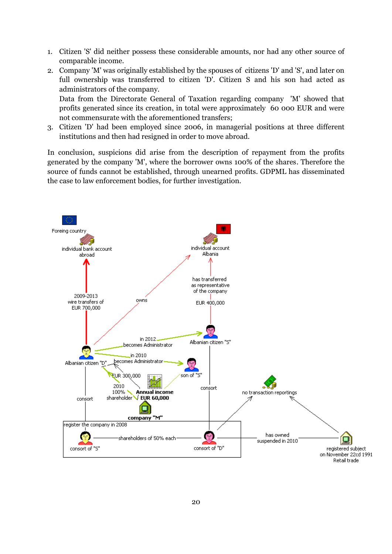- 1. Citizen 'S' did neither possess these considerable amounts, nor had any other source of comparable income.
- 2. Company 'M' was originally established by the spouses of citizens 'D' and 'S', and later on full ownership was transferred to citizen 'D'. Citizen S and his son had acted as administrators of the company. Data from the Directorate General of Taxation regarding company 'M' showed that

profits generated since its creation, in total were approximately 60 000 EUR and were not commensurate with the aforementioned transfers;

3. Citizen 'D' had been employed since 2006, in managerial positions at three different institutions and then had resigned in order to move abroad.

In conclusion, suspicions did arise from the description of repayment from the profits generated by the company 'M', where the borrower owns 100% of the shares. Therefore the source of funds cannot be established, through unearned profits. GDPML has disseminated the case to law enforcement bodies, for further investigation.

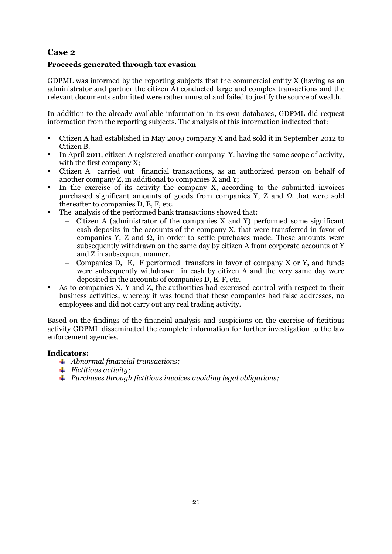#### **Case 2**

#### **Proceeds generated through tax evasion**

GDPML was informed by the reporting subjects that the commercial entity X (having as an administrator and partner the citizen A) conducted large and complex transactions and the relevant documents submitted were rather unusual and failed to justify the source of wealth.

In addition to the already available information in its own databases, GDPML did request information from the reporting subjects. The analysis of this information indicated that:

- Citizen A had established in May 2009 company X and had sold it in September 2012 to Citizen B.
- In April 2011, citizen A registered another company Y, having the same scope of activity, with the first company X;
- Citizen A carried out financial transactions, as an authorized person on behalf of another company Z, in additional to companies X and Y;
- In the exercise of its activity the company X, according to the submitted invoices purchased significant amounts of goods from companies Y, Z and Ω that were sold thereafter to companies D, E, F, etc.
- The analysis of the performed bank transactions showed that:
	- Citizen A (administrator of the companies X and Y) performed some significant cash deposits in the accounts of the company X, that were transferred in favor of companies Y, Z and Ω, in order to settle purchases made. These amounts were subsequently withdrawn on the same day by citizen A from corporate accounts of Y and Z in subsequent manner.
	- Companies D, E, F performed transfers in favor of company X or Y, and funds were subsequently withdrawn in cash by citizen A and the very same day were deposited in the accounts of companies D, E, F, etc.
- As to companies X, Y and Z, the authorities had exercised control with respect to their business activities, whereby it was found that these companies had false addresses, no employees and did not carry out any real trading activity.

Based on the findings of the financial analysis and suspicions on the exercise of fictitious activity GDPML disseminated the complete information for further investigation to the law enforcement agencies.

#### **Indicators:**

- *Abnormal financial transactions;*
- *Fictitious activity;*
- *Purchases through fictitious invoices avoiding legal obligations;*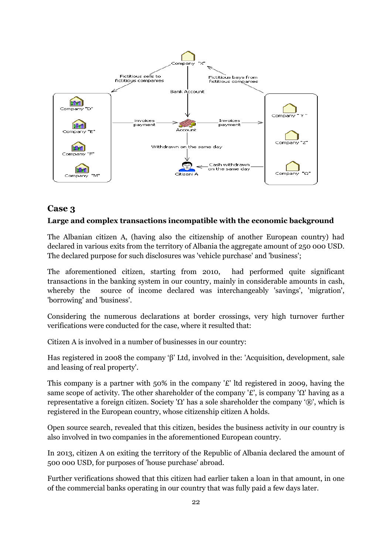

#### **Case 3**

#### **Large and complex transactions incompatible with the economic background**

The Albanian citizen A, (having also the citizenship of another European country) had declared in various exits from the territory of Albania the aggregate amount of 250 000 USD. The declared purpose for such disclosures was 'vehicle purchase' and 'business';

The aforementioned citizen, starting from 2010, had performed quite significant transactions in the banking system in our country, mainly in considerable amounts in cash, whereby the source of income declared was interchangeably 'savings', 'migration', 'borrowing' and 'business'.

Considering the numerous declarations at border crossings, very high turnover further verifications were conducted for the case, where it resulted that:

Citizen A is involved in a number of businesses in our country:

Has registered in 2008 the company 'β' Ltd, involved in the: 'Acquisition, development, sale and leasing of real property'.

This company is a partner with 50% in the company '£' ltd registered in 2009, having the same scope of activity. The other shareholder of the company '£', is company ' $\Omega$ ' having as a representative a foreign citizen. Society 'Ω' has a sole shareholder the company '®', which is registered in the European country, whose citizenship citizen A holds.

Open source search, revealed that this citizen, besides the business activity in our country is also involved in two companies in the aforementioned European country.

In 2013, citizen A on exiting the territory of the Republic of Albania declared the amount of 500 000 USD, for purposes of 'house purchase' abroad.

Further verifications showed that this citizen had earlier taken a loan in that amount, in one of the commercial banks operating in our country that was fully paid a few days later.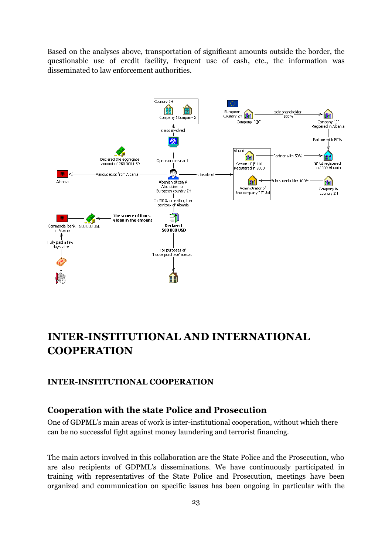Based on the analyses above, transportation of significant amounts outside the border, the questionable use of credit facility, frequent use of cash, etc., the information was disseminated to law enforcement authorities.



## <span id="page-22-0"></span>**INTER-INSTITUTIONAL AND INTERNATIONAL COOPERATION**

#### <span id="page-22-1"></span>**INTER-INSTITUTIONAL COOPERATION**

#### **Cooperation with the state Police and Prosecution**

One of GDPML's main areas of work is inter-institutional cooperation, without which there can be no successful fight against money laundering and terrorist financing.

The main actors involved in this collaboration are the State Police and the Prosecution, who are also recipients of GDPML's disseminations. We have continuously participated in training with representatives of the State Police and Prosecution, meetings have been organized and communication on specific issues has been ongoing in particular with the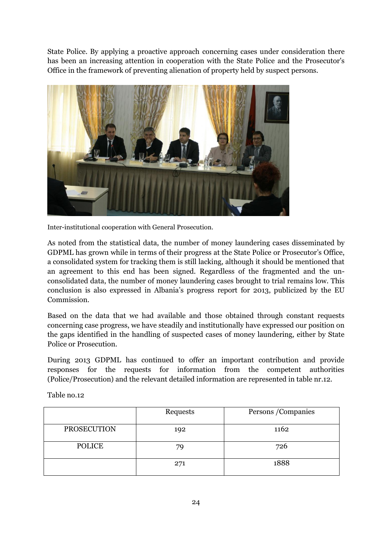State Police. By applying a proactive approach concerning cases under consideration there has been an increasing attention in cooperation with the State Police and the Prosecutor's Office in the framework of preventing alienation of property held by suspect persons.



Inter-institutional cooperation with General Prosecution.

As noted from the statistical data, the number of money laundering cases disseminated by GDPML has grown while in terms of their progress at the State Police or Prosecutor's Office, a consolidated system for tracking them is still lacking, although it should be mentioned that an agreement to this end has been signed. Regardless of the fragmented and the unconsolidated data, the number of money laundering cases brought to trial remains low. This conclusion is also expressed in Albania's progress report for 2013, publicized by the EU Commission.

Based on the data that we had available and those obtained through constant requests concerning case progress, we have steadily and institutionally have expressed our position on the gaps identified in the handling of suspected cases of money laundering, either by State Police or Prosecution.

During 2013 GDPML has continued to offer an important contribution and provide responses for the requests for information from the competent authorities (Police/Prosecution) and the relevant detailed information are represented in table nr.12.

|                    | Requests | Persons / Companies |
|--------------------|----------|---------------------|
| <b>PROSECUTION</b> | 192      | 1162                |
| <b>POLICE</b>      | 79       | 726                 |
|                    | 271      | 1888                |

Table no.12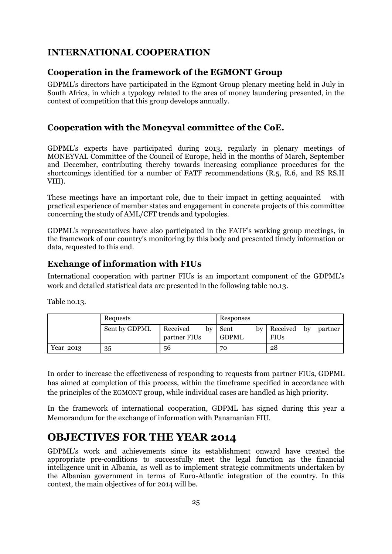## <span id="page-24-0"></span>**INTERNATIONAL COOPERATION**

#### **Cooperation in the framework of the EGMONT Group**

GDPML's directors have participated in the Egmont Group plenary meeting held in July in South Africa, in which a typology related to the area of money laundering presented, in the context of competition that this group develops annually.

### **Cooperation with the Moneyval committee of the CoE.**

GDPML's experts have participated during 2013, regularly in plenary meetings of MONEYVAL Committee of the Council of Europe, held in the months of March, September and December, contributing thereby towards increasing compliance procedures for the shortcomings identified for a number of FATF recommendations (R.5, R.6, and RS RS.II VIII).

These meetings have an important role, due to their impact in getting acquainted with practical experience of member states and engagement in concrete projects of this committee concerning the study of AML/CFT trends and typologies.

GDPML's representatives have also participated in the FATF's working group meetings, in the framework of our country's monitoring by this body and presented timely information or data, requested to this end.

### **Exchange of information with FIUs**

International cooperation with partner FIUs is an important component of the GDPML's work and detailed statistical data are presented in the following table no.13.

Table no.13.

|           | Requests      |                                | Responses           |                                          |
|-----------|---------------|--------------------------------|---------------------|------------------------------------------|
|           | Sent by GDPML | Received<br>by<br>partner FIUs | Sent<br>bv<br>GDPML | Received<br>partner<br>bv<br><b>FIUs</b> |
| Year 2013 | 35            | 56                             | 70                  | 28                                       |

In order to increase the effectiveness of responding to requests from partner FIUs, GDPML has aimed at completion of this process, within the timeframe specified in accordance with the principles of the EGMONT group, while individual cases are handled as high priority.

In the framework of international cooperation, GDPML has signed during this year a Memorandum for the exchange of information with Panamanian FIU.

## <span id="page-24-1"></span>**OBJECTIVES FOR THE YEAR 2014**

GDPML's work and achievements since its establishment onward have created the appropriate pre-conditions to successfully meet the legal function as the financial intelligence unit in Albania, as well as to implement strategic commitments undertaken by the Albanian government in terms of Euro-Atlantic integration of the country. In this context, the main objectives of for 2014 will be.